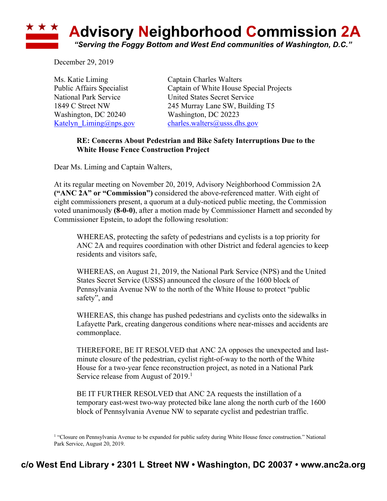

December 29, 2019

Ms. Katie Liming Captain Charles Walters Washington, DC 20240 Washington, DC 20223

Public Affairs Specialist Captain of White House Special Projects National Park Service United States Secret Service 1849 C Street NW 245 Murray Lane SW, Building T5 Katelyn  $Liming@nps.gov$  charles.walters@usss.dhs.gov

## **RE: Concerns About Pedestrian and Bike Safety Interruptions Due to the White House Fence Construction Project**

Dear Ms. Liming and Captain Walters,

At its regular meeting on November 20, 2019, Advisory Neighborhood Commission 2A **("ANC 2A" or "Commission")** considered the above-referenced matter. With eight of eight commissioners present, a quorum at a duly-noticed public meeting, the Commission voted unanimously **(8-0-0)**, after a motion made by Commissioner Harnett and seconded by Commissioner Epstein, to adopt the following resolution:

WHEREAS, protecting the safety of pedestrians and cyclists is a top priority for ANC 2A and requires coordination with other District and federal agencies to keep residents and visitors safe,

WHEREAS, on August 21, 2019, the National Park Service (NPS) and the United States Secret Service (USSS) announced the closure of the 1600 block of Pennsylvania Avenue NW to the north of the White House to protect "public safety", and

WHEREAS, this change has pushed pedestrians and cyclists onto the sidewalks in Lafayette Park, creating dangerous conditions where near-misses and accidents are commonplace.

THEREFORE, BE IT RESOLVED that ANC 2A opposes the unexpected and lastminute closure of the pedestrian, cyclist right-of-way to the north of the White House for a two-year fence reconstruction project, as noted in a National Park Service release from August of 2019.<sup>1</sup>

BE IT FURTHER RESOLVED that ANC 2A requests the instillation of a temporary east-west two-way protected bike lane along the north curb of the 1600 block of Pennsylvania Avenue NW to separate cyclist and pedestrian traffic.

<sup>&</sup>lt;sup>1</sup> "Closure on Pennsylvania Avenue to be expanded for public safety during White House fence construction." National Park Service, August 20, 2019.